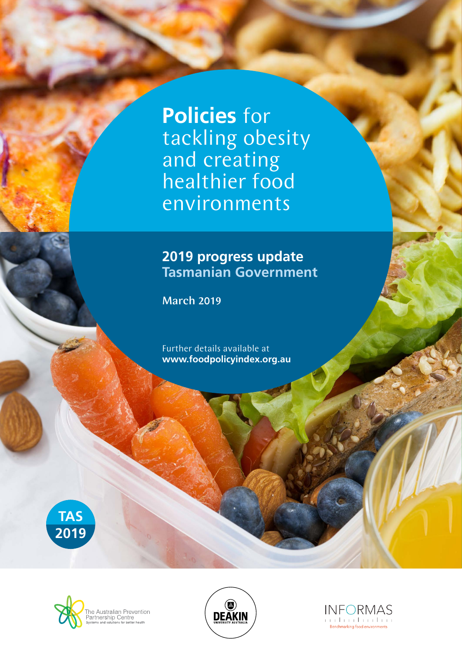**Policies** for tackling obesity and creating healthier food environments

## **2019 progress update Tasmanian Government**

March 2019

Further details available at **www.foodpolicyindex.org.au**







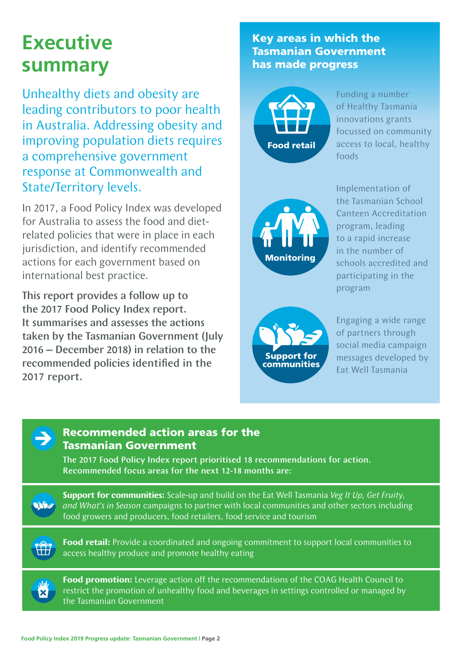# **Executive summary**

Unhealthy diets and obesity are leading contributors to poor health in Australia. Addressing obesity and improving population diets requires a comprehensive government response at Commonwealth and State/Territory levels.

In 2017, a Food Policy Index was developed for Australia to assess the food and dietrelated policies that were in place in each jurisdiction, and identify recommended actions for each government based on international best practice.

This report provides a follow up to the 2017 Food Policy Index report. It summarises and assesses the actions taken by the Tasmanian Government (July 2016 – December 2018) in relation to the recommended policies identified in the 2017 report.

### Key areas in which the Tasmanian Government has made progress



Funding a number of Healthy Tasmania innovations grants focussed on community access to local, healthy foods



Implementation of the Tasmanian School Canteen Accreditation program, leading to a rapid increase in the number of schools accredited and participating in the program



Engaging a wide range of partners through social media campaign messages developed by Eat Well Tasmania



#### Recommended action areas for the Tasmanian Government

The 2017 Food Policy Index report prioritised 18 recommendations for action. Recommended focus areas for the next 12-18 months are:

**Support for communities:** Scale-up and build on the Eat Well Tasmania *Veg It Up, Get Fruity, and What's in Season* campaigns to partner with local communities and other sectors including food growers and producers, food retailers, food service and tourism



**Vinst** 

**Food retail:** Provide a coordinated and ongoing commitment to support local communities to access healthy produce and promote healthy eating

**Food promotion:** Leverage action off the recommendations of the COAG Health Council to restrict the promotion of unhealthy food and beverages in settings controlled or managed by the Tasmanian Government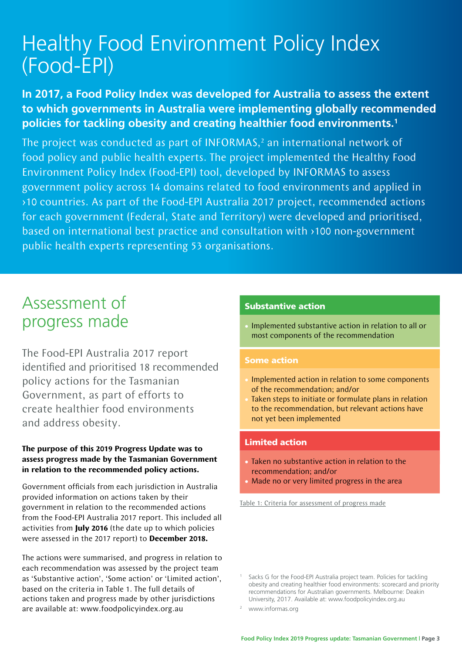# Healthy Food Environment Policy Index (Food-EPI)

### **In 2017, a Food Policy Index was developed for Australia to assess the extent to which governments in Australia were implementing globally recommended policies for tackling obesity and creating healthier food environments.1**

The project was conducted as part of INFORMAS, $<sup>2</sup>$  an international network of</sup> food policy and public health experts. The project implemented the Healthy Food Environment Policy Index (Food-EPI) tool, developed by INFORMAS to assess government policy across 14 domains related to food environments and applied in >10 countries. As part of the Food-EPI Australia 2017 project, recommended actions for each government (Federal, State and Territory) were developed and prioritised, based on international best practice and consultation with >100 non-government public health experts representing 53 organisations.

# Assessment of progress made

The Food-EPI Australia 2017 report identified and prioritised 18 recommended policy actions for the Tasmanian Government, as part of efforts to create healthier food environments and address obesity.

#### **The purpose of this 2019 Progress Update was to assess progress made by the Tasmanian Government in relation to the recommended policy actions.**

Government officials from each jurisdiction in Australia provided information on actions taken by their government in relation to the recommended actions from the Food-EPI Australia 2017 report. This included all activities from **July 2016** (the date up to which policies were assessed in the 2017 report) to **December 2018.**

The actions were summarised, and progress in relation to each recommendation was assessed by the project team as 'Substantive action', 'Some action' or 'Limited action', based on the criteria in Table 1. The full details of actions taken and progress made by other jurisdictions are available at: www.foodpolicyindex.org.au

#### Substantive action

• Implemented substantive action in relation to all or most components of the recommendation

#### Some action

- Implemented action in relation to some components of the recommendation; and/or
- Taken steps to initiate or formulate plans in relation to the recommendation, but relevant actions have not yet been implemented

#### Limited action

- Taken no substantive action in relation to the recommendation; and/or
- Made no or very limited progress in the area

Table 1: Criteria for assessment of progress made

Sacks G for the Food-EPI Australia project team. Policies for tackling obesity and creating healthier food environments: scorecard and priority recommendations for Australian governments. Melbourne: Deakin University, 2017. Available at: www.foodpolicyindex.org.au

www.informas.org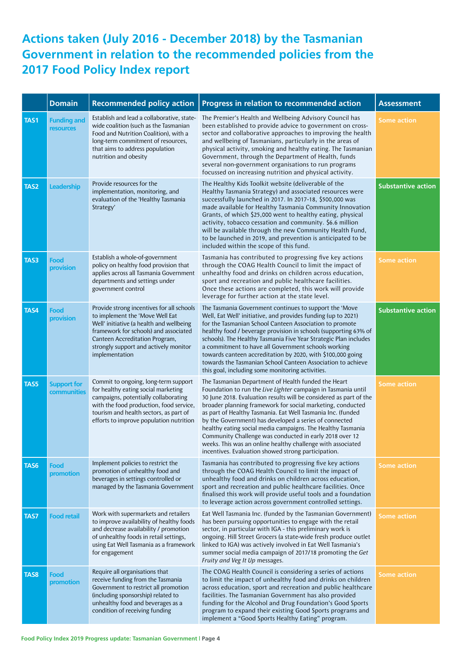## **Actions taken (July 2016 - December 2018) by the Tasmanian Government in relation to the recommended policies from the 2017 Food Policy Index report**

|             | <b>Domain</b>                     | <b>Recommended policy action</b>                                                                                                                                                                                                                               | Progress in relation to recommended action                                                                                                                                                                                                                                                                                                                                                                                                                                                                                                                                                                                        | <b>Assessment</b>         |
|-------------|-----------------------------------|----------------------------------------------------------------------------------------------------------------------------------------------------------------------------------------------------------------------------------------------------------------|-----------------------------------------------------------------------------------------------------------------------------------------------------------------------------------------------------------------------------------------------------------------------------------------------------------------------------------------------------------------------------------------------------------------------------------------------------------------------------------------------------------------------------------------------------------------------------------------------------------------------------------|---------------------------|
| <b>TAS1</b> | <b>Funding and</b><br>resources   | Establish and lead a collaborative, state-<br>wide coalition (such as the Tasmanian<br>Food and Nutrition Coalition), with a<br>long-term commitment of resources,<br>that aims to address population<br>nutrition and obesity                                 | The Premier's Health and Wellbeing Advisory Council has<br>been established to provide advice to government on cross-<br>sector and collaborative approaches to improving the health<br>and wellbeing of Tasmanians, particularly in the areas of<br>physical activity, smoking and healthy eating. The Tasmanian<br>Government, through the Department of Health, funds<br>several non-government organisations to run programs<br>focussed on increasing nutrition and physical activity.                                                                                                                                       | <b>Some action</b>        |
| TAS2        | <b>Leadership</b>                 | Provide resources for the<br>implementation, monitoring, and<br>evaluation of the 'Healthy Tasmania<br>Strategy'                                                                                                                                               | The Healthy Kids Toolkit website (deliverable of the<br>Healthy Tasmania Strategy) and associated resources were<br>successfully launched in 2017. In 2017-18, \$500,000 was<br>made available for Healthy Tasmania Community Innovation<br>Grants, of which \$25,000 went to healthy eating, physical<br>activity, tobacco cessation and community. \$6.6 million<br>will be available through the new Community Health Fund,<br>to be launched in 2019, and prevention is anticipated to be<br>included within the scope of this fund.                                                                                          | <b>Substantive action</b> |
| TAS3        | Food<br>provision                 | Establish a whole-of-government<br>policy on healthy food provision that<br>applies across all Tasmania Government<br>departments and settings under<br>government control                                                                                     | Tasmania has contributed to progressing five key actions<br>through the COAG Health Council to limit the impact of<br>unhealthy food and drinks on children across education,<br>sport and recreation and public healthcare facilities.<br>Once these actions are completed, this work will provide<br>leverage for further action at the state level.                                                                                                                                                                                                                                                                            | <b>Some action</b>        |
| TAS4        | Food<br>provision                 | Provide strong incentives for all schools<br>to implement the 'Move Well Eat<br>Well' initiative (a health and wellbeing<br>framework for schools) and associated<br>Canteen Accreditation Program,<br>strongly support and actively monitor<br>implementation | The Tasmania Government continues to support the 'Move<br>Well, Eat Well' initiative, and provides funding (up to 2021)<br>for the Tasmanian School Canteen Association to promote<br>healthy food / beverage provision in schools (supporting 63% of<br>schools). The Healthy Tasmania Five Year Strategic Plan includes<br>a commitment to have all Government schools working<br>towards canteen accreditation by 2020, with \$100,000 going<br>towards the Tasmanian School Canteen Association to achieve<br>this goal, including some monitoring activities.                                                                | <b>Substantive action</b> |
| TAS5        | <b>Support for</b><br>communities | Commit to ongoing, long-term support<br>for healthy eating social marketing<br>campaigns, potentially collaborating<br>with the food production, food service,<br>tourism and health sectors, as part of<br>efforts to improve population nutrition            | The Tasmanian Department of Health funded the Heart<br>Foundation to run the Live Lighter campaign in Tasmania until<br>30 June 2018. Evaluation results will be considered as part of the<br>broader planning framework for social marketing, conducted<br>as part of Healthy Tasmania. Eat Well Tasmania Inc. (funded<br>by the Government) has developed a series of connected<br>healthy eating social media campaigns. The Healthy Tasmania<br>Community Challenge was conducted in early 2018 over 12<br>weeks. This was an online healthy challenge with associated<br>incentives. Evaluation showed strong participation. | <b>Some action</b>        |
| <b>TAS6</b> | Food<br>promotion                 | Implement policies to restrict the<br>promotion of unhealthy food and<br>beverages in settings controlled or<br>managed by the Tasmania Government                                                                                                             | Tasmania has contributed to progressing five key actions<br>through the COAG Health Council to limit the impact of<br>unhealthy food and drinks on children across education,<br>sport and recreation and public healthcare facilities. Once<br>finalised this work will provide useful tools and a foundation<br>to leverage action across government controlled settings.                                                                                                                                                                                                                                                       | Some action               |
| TAS7        | <b>Food retail</b>                | Work with supermarkets and retailers<br>to improve availability of healthy foods<br>and decrease availability / promotion<br>of unhealthy foods in retail settings,<br>using Eat Well Tasmania as a framework<br>for engagement                                | Eat Well Tasmania Inc. (funded by the Tasmanian Government)<br>has been pursuing opportunities to engage with the retail<br>sector, in particular with IGA - this preliminary work is<br>ongoing. Hill Street Grocers (a state-wide fresh produce outlet<br>linked to IGA) was actively involved in Eat Well Tasmania's<br>summer social media campaign of 2017/18 promoting the Get<br>Fruity and Veg It Up messages.                                                                                                                                                                                                            | <b>Some action</b>        |
| <b>TAS8</b> | Food<br>promotion                 | Require all organisations that<br>receive funding from the Tasmania<br>Government to restrict all promotion<br>(including sponsorship) related to<br>unhealthy food and beverages as a<br>condition of receiving funding                                       | The COAG Health Council is considering a series of actions<br>to limit the impact of unhealthy food and drinks on children<br>across education, sport and recreation and public healthcare<br>facilities. The Tasmanian Government has also provided<br>funding for the Alcohol and Drug Foundation's Good Sports<br>program to expand their existing Good Sports programs and<br>implement a "Good Sports Healthy Eating" program.                                                                                                                                                                                               | Some action               |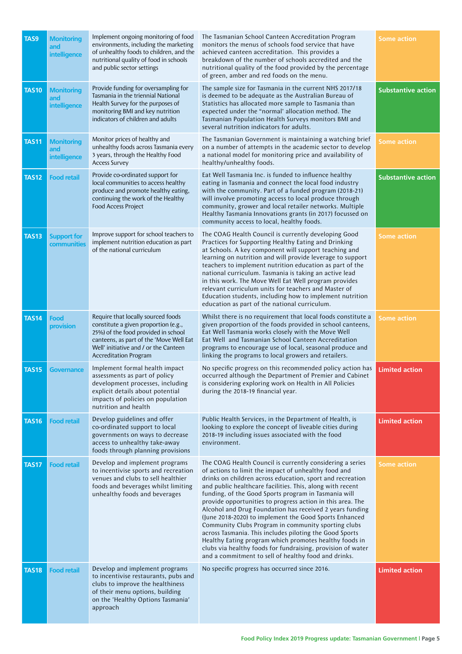| <b>TAS9</b>  | <b>Monitoring</b><br>and<br>intelligence | Implement ongoing monitoring of food<br>environments, including the marketing<br>of unhealthy foods to children, and the<br>nutritional quality of food in schools<br>and public sector settings                                      | The Tasmanian School Canteen Accreditation Program<br>monitors the menus of schools food service that have<br>achieved canteen accreditation. This provides a<br>breakdown of the number of schools accredited and the<br>nutritional quality of the food provided by the percentage<br>of green, amber and red foods on the menu.                                                                                                                                                                                                                                                                                                                                                                                                                                                         | <b>Some action</b>        |
|--------------|------------------------------------------|---------------------------------------------------------------------------------------------------------------------------------------------------------------------------------------------------------------------------------------|--------------------------------------------------------------------------------------------------------------------------------------------------------------------------------------------------------------------------------------------------------------------------------------------------------------------------------------------------------------------------------------------------------------------------------------------------------------------------------------------------------------------------------------------------------------------------------------------------------------------------------------------------------------------------------------------------------------------------------------------------------------------------------------------|---------------------------|
| <b>TAS10</b> | <b>Monitoring</b><br>and<br>intelligence | Provide funding for oversampling for<br>Tasmania in the triennial National<br>Health Survey for the purposes of<br>monitoring BMI and key nutrition<br>indicators of children and adults                                              | The sample size for Tasmania in the current NHS 2017/18<br>is deemed to be adequate as the Australian Bureau of<br>Statistics has allocated more sample to Tasmania than<br>expected under the "normal' allocation method. The<br>Tasmanian Population Health Surveys monitors BMI and<br>several nutrition indicators for adults.                                                                                                                                                                                                                                                                                                                                                                                                                                                         | <b>Substantive action</b> |
| <b>TAS11</b> | <b>Monitoring</b><br>and<br>intelligence | Monitor prices of healthy and<br>unhealthy foods across Tasmania every<br>3 years, through the Healthy Food<br><b>Access Survey</b>                                                                                                   | The Tasmanian Government is maintaining a watching brief<br>on a number of attempts in the academic sector to develop<br>a national model for monitoring price and availability of<br>healthy/unhealthy foods.                                                                                                                                                                                                                                                                                                                                                                                                                                                                                                                                                                             | <b>Some action</b>        |
| <b>TAS12</b> | <b>Food retail</b>                       | Provide co-ordinated support for<br>local communities to access healthy<br>produce and promote healthy eating,<br>continuing the work of the Healthy<br>Food Access Project                                                           | Eat Well Tasmania Inc. is funded to influence healthy<br>eating in Tasmania and connect the local food industry<br>with the community. Part of a funded program (2018-21)<br>will involve promoting access to local produce through<br>community, grower and local retailer networks. Multiple<br>Healthy Tasmania Innovations grants (in 2017) focussed on<br>community access to local, healthy foods.                                                                                                                                                                                                                                                                                                                                                                                   | <b>Substantive action</b> |
| <b>TAS13</b> | <b>Support for</b><br>communities        | Improve support for school teachers to<br>implement nutrition education as part<br>of the national curriculum                                                                                                                         | The COAG Health Council is currently developing Good<br>Practices for Supporting Healthy Eating and Drinking<br>at Schools. A key component will support teaching and<br>learning on nutrition and will provide leverage to support<br>teachers to implement nutrition education as part of the<br>national curriculum. Tasmania is taking an active lead<br>in this work. The Move Well Eat Well program provides<br>relevant curriculum units for teachers and Master of<br>Education students, including how to implement nutrition<br>education as part of the national curriculum.                                                                                                                                                                                                    | <b>Some action</b>        |
| <b>TAS14</b> | Food<br>provision                        | Require that locally sourced foods<br>constitute a given proportion (e.g.,<br>25%) of the food provided in school<br>canteens, as part of the 'Move Well Eat<br>Well' initiative and / or the Canteen<br><b>Accreditation Program</b> | Whilst there is no requirement that local foods constitute a<br>given proportion of the foods provided in school canteens,<br>Eat Well Tasmania works closely with the Move Well<br>Eat Well and Tasmanian School Canteen Accreditation<br>programs to encourage use of local, seasonal produce and<br>linking the programs to local growers and retailers.                                                                                                                                                                                                                                                                                                                                                                                                                                | <b>Some action</b>        |
| <b>TAS15</b> | <b>Governance</b>                        | Implement formal health impact<br>assessments as part of policy<br>development processes, including<br>explicit details about potential<br>impacts of policies on population<br>nutrition and health                                  | No specific progress on this recommended policy action has<br>occurred although the Department of Premier and Cabinet<br>is considering exploring work on Health in All Policies<br>during the 2018-19 financial year.                                                                                                                                                                                                                                                                                                                                                                                                                                                                                                                                                                     | <b>Limited action</b>     |
| <b>TAS16</b> | <b>Food retail</b>                       | Develop guidelines and offer<br>co-ordinated support to local<br>governments on ways to decrease<br>access to unhealthy take-away<br>foods through planning provisions                                                                | Public Health Services, in the Department of Health, is<br>looking to explore the concept of liveable cities during<br>2018-19 including issues associated with the food<br>environment.                                                                                                                                                                                                                                                                                                                                                                                                                                                                                                                                                                                                   | <b>Limited action</b>     |
| <b>TAS17</b> | <b>Food retail</b>                       | Develop and implement programs<br>to incentivise sports and recreation<br>venues and clubs to sell healthier<br>foods and beverages whilst limiting<br>unhealthy foods and beverages                                                  | The COAG Health Council is currently considering a series<br>of actions to limit the impact of unhealthy food and<br>drinks on children across education, sport and recreation<br>and public healthcare facilities. This, along with recent<br>funding, of the Good Sports program in Tasmania will<br>provide opportunities to progress action in this area. The<br>Alcohol and Drug Foundation has received 2 years funding<br>(June 2018-2020) to implement the Good Sports Enhanced<br>Community Clubs Program in community sporting clubs<br>across Tasmania. This includes piloting the Good Sports<br>Healthy Eating program which promotes healthy foods in<br>clubs via healthy foods for fundraising, provision of water<br>and a commitment to sell of healthy food and drinks. | <b>Some action</b>        |
| <b>TAS18</b> | <b>Food retail</b>                       | Develop and implement programs<br>to incentivise restaurants, pubs and<br>clubs to improve the healthiness<br>of their menu options, building<br>on the 'Healthy Options Tasmania'<br>approach                                        | No specific progress has occurred since 2016.                                                                                                                                                                                                                                                                                                                                                                                                                                                                                                                                                                                                                                                                                                                                              | <b>Limited action</b>     |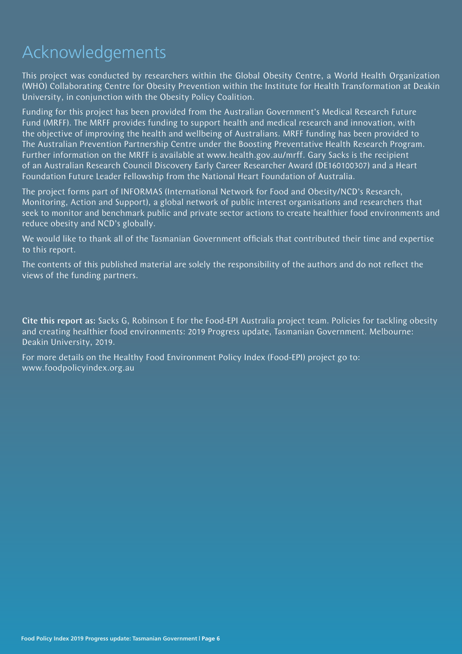# Acknowledgements

This project was conducted by researchers within the Global Obesity Centre, a World Health Organization (WHO) Collaborating Centre for Obesity Prevention within the Institute for Health Transformation at Deakin University, in conjunction with the Obesity Policy Coalition.

Funding for this project has been provided from the Australian Government's Medical Research Future Fund (MRFF). The MRFF provides funding to support health and medical research and innovation, with the objective of improving the health and wellbeing of Australians. MRFF funding has been provided to The Australian Prevention Partnership Centre under the Boosting Preventative Health Research Program. Further information on the MRFF is available at www.health.gov.au/mrff. Gary Sacks is the recipient of an Australian Research Council Discovery Early Career Researcher Award (DE160100307) and a Heart Foundation Future Leader Fellowship from the National Heart Foundation of Australia.

The project forms part of INFORMAS (International Network for Food and Obesity/NCD's Research, Monitoring, Action and Support), a global network of public interest organisations and researchers that seek to monitor and benchmark public and private sector actions to create healthier food environments and reduce obesity and NCD's globally.

We would like to thank all of the Tasmanian Government officials that contributed their time and expertise to this report.

The contents of this published material are solely the responsibility of the authors and do not reflect the views of the funding partners.

Cite this report as: Sacks G, Robinson E for the Food-EPI Australia project team. Policies for tackling obesity and creating healthier food environments: 2019 Progress update, Tasmanian Government. Melbourne: Deakin University, 2019.

For more details on the Healthy Food Environment Policy Index (Food-EPI) project go to: www.foodpolicyindex.org.au